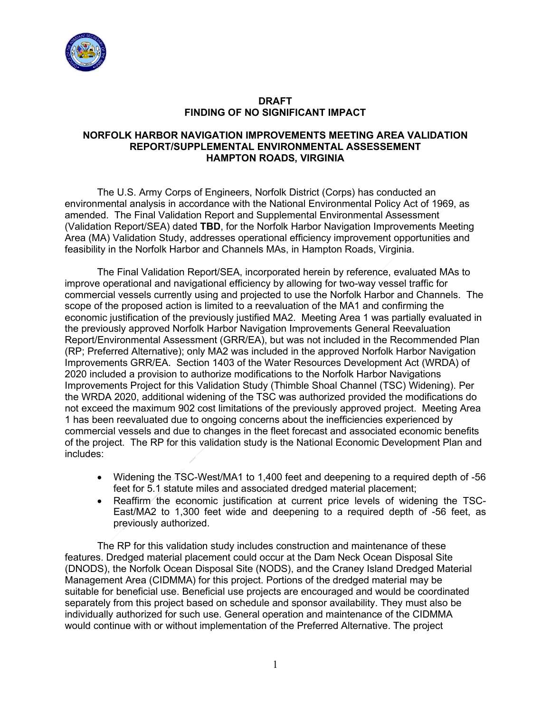

## **DRAFT FINDING OF NO SIGNIFICANT IMPACT**

## **NORFOLK HARBOR NAVIGATION IMPROVEMENTS MEETING AREA VALIDATION REPORT/SUPPLEMENTAL ENVIRONMENTAL ASSESSEMENT HAMPTON ROADS, VIRGINIA**

The U.S. Army Corps of Engineers, Norfolk District (Corps) has conducted an environmental analysis in accordance with the National Environmental Policy Act of 1969, as amended. The Final Validation Report and Supplemental Environmental Assessment (Validation Report/SEA) dated **TBD**, for the Norfolk Harbor Navigation Improvements Meeting Area (MA) Validation Study, addresses operational efficiency improvement opportunities and feasibility in the Norfolk Harbor and Channels MAs, in Hampton Roads, Virginia.

The Final Validation Report/SEA, incorporated herein by reference, evaluated MAs to improve operational and navigational efficiency by allowing for two-way vessel traffic for commercial vessels currently using and projected to use the Norfolk Harbor and Channels. The scope of the proposed action is limited to a reevaluation of the MA1 and confirming the economic justification of the previously justified MA2. Meeting Area 1 was partially evaluated in the previously approved Norfolk Harbor Navigation Improvements General Reevaluation Report/Environmental Assessment (GRR/EA), but was not included in the Recommended Plan (RP; Preferred Alternative); only MA2 was included in the approved Norfolk Harbor Navigation Improvements GRR/EA. Section 1403 of the Water Resources Development Act (WRDA) of 2020 included a provision to authorize modifications to the Norfolk Harbor Navigations Improvements Project for this Validation Study (Thimble Shoal Channel (TSC) Widening). Per the WRDA 2020, additional widening of the TSC was authorized provided the modifications do not exceed the maximum 902 cost limitations of the previously approved project. Meeting Area 1 has been reevaluated due to ongoing concerns about the inefficiencies experienced by commercial vessels and due to changes in the fleet forecast and associated economic benefits of the project. The RP for this validation study is the National Economic Development Plan and includes:

- Widening the TSC-West/MA1 to 1,400 feet and deepening to a required depth of -56 feet for 5.1 statute miles and associated dredged material placement;
- Reaffirm the economic justification at current price levels of widening the TSC-East/MA2 to 1,300 feet wide and deepening to a required depth of -56 feet, as previously authorized.

The RP for this validation study includes construction and maintenance of these features. Dredged material placement could occur at the Dam Neck Ocean Disposal Site (DNODS), the Norfolk Ocean Disposal Site (NODS), and the Craney Island Dredged Material Management Area (CIDMMA) for this project. Portions of the dredged material may be suitable for beneficial use. Beneficial use projects are encouraged and would be coordinated separately from this project based on schedule and sponsor availability. They must also be individually authorized for such use. General operation and maintenance of the CIDMMA would continue with or without implementation of the Preferred Alternative. The project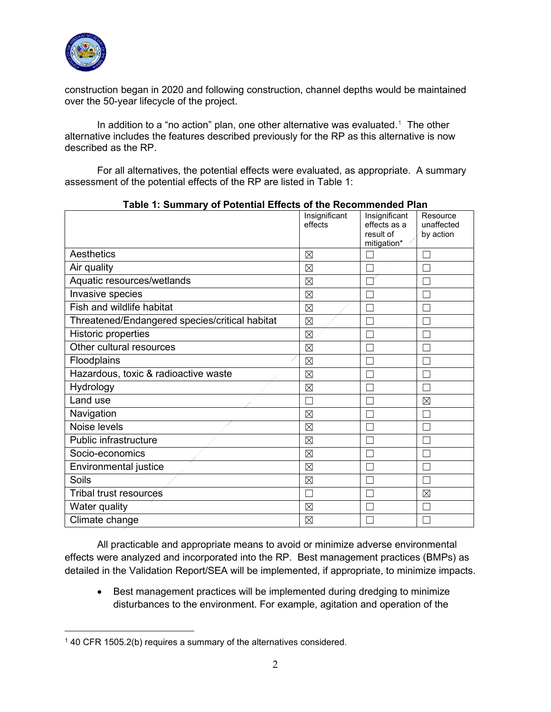

construction began in 2020 and following construction, channel depths would be maintained over the 50-year lifecycle of the project.

In addition to a "no action" plan, one other alternative was evaluated.<sup>1</sup> The other alternative includes the features described previously for the RP as this alternative is now described as the RP.

For all alternatives, the potential effects were evaluated, as appropriate. A summary assessment of the potential effects of the RP are listed in Table 1:

| <b>.</b>                                       | Insignificant<br>effects | Insignificant<br>effects as a<br>result of<br>mitigation* | Resource<br>unaffected<br>by action |
|------------------------------------------------|--------------------------|-----------------------------------------------------------|-------------------------------------|
| Aesthetics                                     | $\boxtimes$              |                                                           |                                     |
| Air quality                                    | $\boxtimes$              |                                                           |                                     |
| Aquatic resources/wetlands                     | $\boxtimes$              |                                                           |                                     |
| Invasive species                               | $\boxtimes$              |                                                           |                                     |
| Fish and wildlife habitat                      | ⊠                        |                                                           |                                     |
| Threatened/Endangered species/critical habitat | $\boxtimes$              |                                                           |                                     |
| Historic properties                            | $\boxtimes$              |                                                           |                                     |
| Other cultural resources                       | ⊠                        |                                                           |                                     |
| Floodplains                                    | $\boxtimes$              |                                                           |                                     |
| Hazardous, toxic & radioactive waste           | $\boxtimes$              |                                                           |                                     |
| Hydrology                                      | $\boxtimes$              |                                                           |                                     |
| Land use                                       |                          |                                                           | $\boxtimes$                         |
| Navigation                                     | $\boxtimes$              |                                                           |                                     |
| Noise levels                                   | ⊠                        |                                                           |                                     |
| Public infrastructure                          | $\boxtimes$              |                                                           |                                     |
| Socio-economics                                | $\boxtimes$              |                                                           |                                     |
| Environmental justice                          | $\boxtimes$              |                                                           |                                     |
| Soils                                          | $\boxtimes$              |                                                           |                                     |
| Tribal trust resources                         |                          |                                                           | $\boxtimes$                         |
| Water quality                                  | $\boxtimes$              |                                                           |                                     |
| Climate change                                 | $\boxtimes$              |                                                           |                                     |

**Table 1: Summary of Potential Effects of the Recommended Plan**

All practicable and appropriate means to avoid or minimize adverse environmental effects were analyzed and incorporated into the RP. Best management practices (BMPs) as detailed in the Validation Report/SEA will be implemented, if appropriate, to minimize impacts.

• Best management practices will be implemented during dredging to minimize disturbances to the environment. For example, agitation and operation of the

<span id="page-1-0"></span><sup>1</sup> 40 CFR 1505.2(b) requires a summary of the alternatives considered.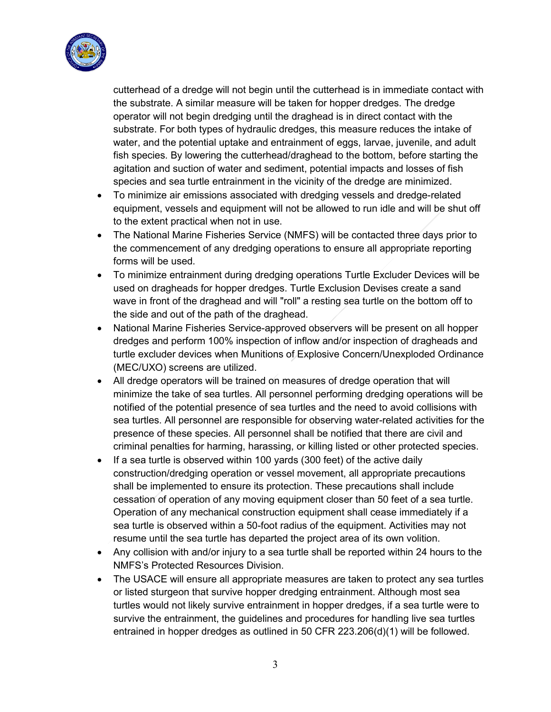

cutterhead of a dredge will not begin until the cutterhead is in immediate contact with the substrate. A similar measure will be taken for hopper dredges. The dredge operator will not begin dredging until the draghead is in direct contact with the substrate. For both types of hydraulic dredges, this measure reduces the intake of water, and the potential uptake and entrainment of eggs, larvae, juvenile, and adult fish species. By lowering the cutterhead/draghead to the bottom, before starting the agitation and suction of water and sediment, potential impacts and losses of fish species and sea turtle entrainment in the vicinity of the dredge are minimized.

- To minimize air emissions associated with dredging vessels and dredge-related equipment, vessels and equipment will not be allowed to run idle and will be shut off to the extent practical when not in use.
- The National Marine Fisheries Service (NMFS) will be contacted three days prior to the commencement of any dredging operations to ensure all appropriate reporting forms will be used.
- To minimize entrainment during dredging operations Turtle Excluder Devices will be used on dragheads for hopper dredges. Turtle Exclusion Devises create a sand wave in front of the draghead and will "roll" a resting sea turtle on the bottom off to the side and out of the path of the draghead.
- National Marine Fisheries Service-approved observers will be present on all hopper dredges and perform 100% inspection of inflow and/or inspection of dragheads and turtle excluder devices when Munitions of Explosive Concern/Unexploded Ordinance (MEC/UXO) screens are utilized.
- All dredge operators will be trained on measures of dredge operation that will minimize the take of sea turtles. All personnel performing dredging operations will be notified of the potential presence of sea turtles and the need to avoid collisions with sea turtles. All personnel are responsible for observing water-related activities for the presence of these species. All personnel shall be notified that there are civil and criminal penalties for harming, harassing, or killing listed or other protected species.
- If a sea turtle is observed within 100 yards (300 feet) of the active daily construction/dredging operation or vessel movement, all appropriate precautions shall be implemented to ensure its protection. These precautions shall include cessation of operation of any moving equipment closer than 50 feet of a sea turtle. Operation of any mechanical construction equipment shall cease immediately if a sea turtle is observed within a 50-foot radius of the equipment. Activities may not resume until the sea turtle has departed the project area of its own volition.
- Any collision with and/or injury to a sea turtle shall be reported within 24 hours to the NMFS's Protected Resources Division.
- The USACE will ensure all appropriate measures are taken to protect any sea turtles or listed sturgeon that survive hopper dredging entrainment. Although most sea turtles would not likely survive entrainment in hopper dredges, if a sea turtle were to survive the entrainment, the guidelines and procedures for handling live sea turtles entrained in hopper dredges as outlined in 50 CFR 223.206(d)(1) will be followed.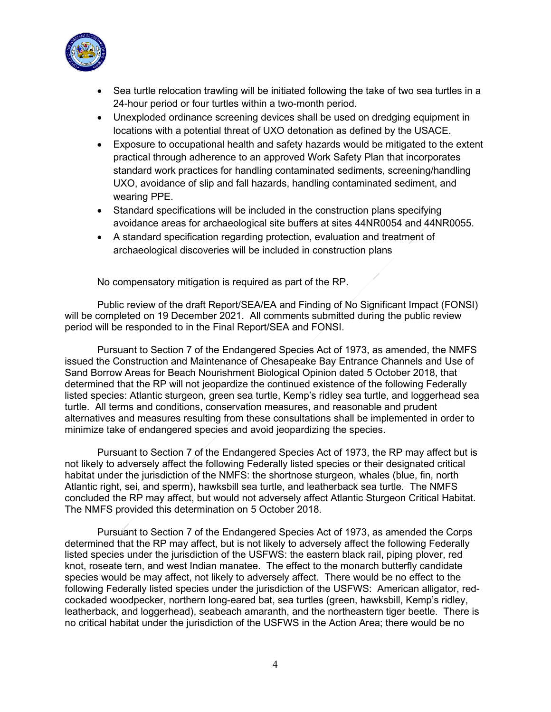

- Sea turtle relocation trawling will be initiated following the take of two sea turtles in a 24-hour period or four turtles within a two-month period.
- Unexploded ordinance screening devices shall be used on dredging equipment in locations with a potential threat of UXO detonation as defined by the USACE.
- Exposure to occupational health and safety hazards would be mitigated to the extent practical through adherence to an approved Work Safety Plan that incorporates standard work practices for handling contaminated sediments, screening/handling UXO, avoidance of slip and fall hazards, handling contaminated sediment, and wearing PPE.
- Standard specifications will be included in the construction plans specifying avoidance areas for archaeological site buffers at sites 44NR0054 and 44NR0055.
- A standard specification regarding protection, evaluation and treatment of archaeological discoveries will be included in construction plans

No compensatory mitigation is required as part of the RP.

Public review of the draft Report/SEA/EA and Finding of No Significant Impact (FONSI) will be completed on 19 December 2021. All comments submitted during the public review period will be responded to in the Final Report/SEA and FONSI.

Pursuant to Section 7 of the Endangered Species Act of 1973, as amended, the NMFS issued the Construction and Maintenance of Chesapeake Bay Entrance Channels and Use of Sand Borrow Areas for Beach Nourishment Biological Opinion dated 5 October 2018, that determined that the RP will not jeopardize the continued existence of the following Federally listed species: Atlantic sturgeon, green sea turtle, Kemp's ridley sea turtle, and loggerhead sea turtle. All terms and conditions, conservation measures, and reasonable and prudent alternatives and measures resulting from these consultations shall be implemented in order to minimize take of endangered species and avoid jeopardizing the species.

Pursuant to Section 7 of the Endangered Species Act of 1973, the RP may affect but is not likely to adversely affect the following Federally listed species or their designated critical habitat under the jurisdiction of the NMFS: the shortnose sturgeon, whales (blue, fin, north Atlantic right, sei, and sperm), hawksbill sea turtle, and leatherback sea turtle. The NMFS concluded the RP may affect, but would not adversely affect Atlantic Sturgeon Critical Habitat. The NMFS provided this determination on 5 October 2018.

Pursuant to Section 7 of the Endangered Species Act of 1973, as amended the Corps determined that the RP may affect, but is not likely to adversely affect the following Federally listed species under the jurisdiction of the USFWS: the eastern black rail, piping plover, red knot, roseate tern, and west Indian manatee. The effect to the monarch butterfly candidate species would be may affect, not likely to adversely affect. There would be no effect to the following Federally listed species under the jurisdiction of the USFWS: American alligator, redcockaded woodpecker, northern long-eared bat, sea turtles (green, hawksbill, Kemp's ridley, leatherback, and loggerhead), seabeach amaranth, and the northeastern tiger beetle. There is no critical habitat under the jurisdiction of the USFWS in the Action Area; there would be no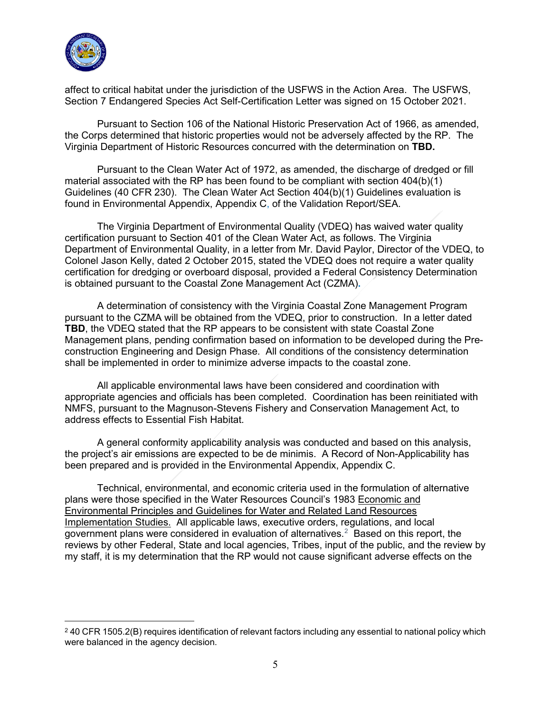

affect to critical habitat under the jurisdiction of the USFWS in the Action Area. The USFWS, Section 7 Endangered Species Act Self-Certification Letter was signed on 15 October 2021.

Pursuant to Section 106 of the National Historic Preservation Act of 1966, as amended, the Corps determined that historic properties would not be adversely affected by the RP. The Virginia Department of Historic Resources concurred with the determination on **TBD.** 

Pursuant to the Clean Water Act of 1972, as amended, the discharge of dredged or fill material associated with the RP has been found to be compliant with section 404(b)(1) Guidelines (40 CFR 230). The Clean Water Act Section 404(b)(1) Guidelines evaluation is found in Environmental Appendix, Appendix C, of the Validation Report/SEA.

The Virginia Department of Environmental Quality (VDEQ) has waived water quality certification pursuant to Section 401 of the Clean Water Act, as follows. The Virginia Department of Environmental Quality, in a letter from Mr. David Paylor, Director of the VDEQ, to Colonel Jason Kelly, dated 2 October 2015, stated the VDEQ does not require a water quality certification for dredging or overboard disposal, provided a Federal Consistency Determination is obtained pursuant to the Coastal Zone Management Act (CZMA)**.**

A determination of consistency with the Virginia Coastal Zone Management Program pursuant to the CZMA will be obtained from the VDEQ, prior to construction. In a letter dated **TBD**, the VDEQ stated that the RP appears to be consistent with state Coastal Zone Management plans, pending confirmation based on information to be developed during the Preconstruction Engineering and Design Phase. All conditions of the consistency determination shall be implemented in order to minimize adverse impacts to the coastal zone.

All applicable environmental laws have been considered and coordination with appropriate agencies and officials has been completed. Coordination has been reinitiated with NMFS, pursuant to the Magnuson-Stevens Fishery and Conservation Management Act, to address effects to Essential Fish Habitat.

A general conformity applicability analysis was conducted and based on this analysis, the project's air emissions are expected to be de minimis. A Record of Non-Applicability has been prepared and is provided in the Environmental Appendix, Appendix C.

Technical, environmental, and economic criteria used in the formulation of alternative plans were those specified in the Water Resources Council's 1983 Economic and Environmental Principles and Guidelines for Water and Related Land Resources Implementation Studies. All applicable laws, executive orders, regulations, and local government plans were considered in evaluation of alternatives. $^{\mathrm{2}}\,$  $^{\mathrm{2}}\,$  $^{\mathrm{2}}\,$  Based on this report, the reviews by other Federal, State and local agencies, Tribes, input of the public, and the review by my staff, it is my determination that the RP would not cause significant adverse effects on the

<span id="page-4-0"></span><sup>&</sup>lt;sup>2</sup> 40 CFR 1505.2(B) requires identification of relevant factors including any essential to national policy which were balanced in the agency decision.